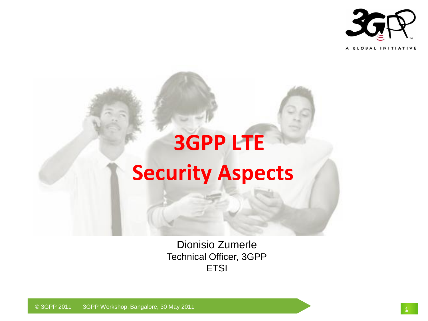



Dionisio Zumerle Technical Officer, 3GPP **ETSI** 

© 3GPP 2011 3GPP Workshop, Bangalore, 30 May 2011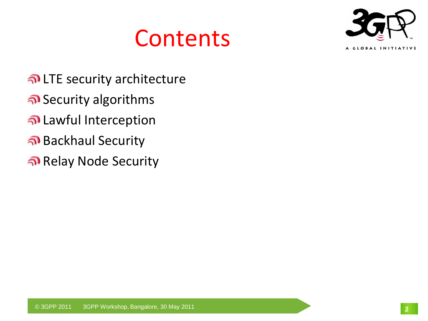# **Contents**



- LTE security architecture
- Security algorithms
- Lawful Interception
- Backhaul Security
- Relay Node Security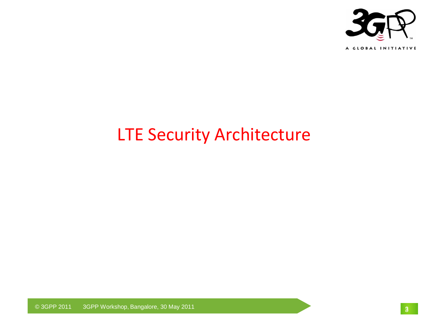

#### LTE Security Architecture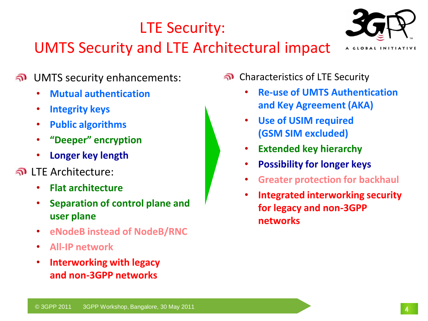#### LTE Security:

#### UMTS Security and LTE Architectural impact



- UMTS security enhancements:  $\mathbf{v}$ 
	- **Mutual authentication**
	- **Integrity keys**
	- **Public algorithms**
	- **"Deeper" encryption**
	- **Longer key length**
- LTE Architecture:
	- **Flat architecture**
	- **Separation of control plane and user plane**
	- **eNodeB instead of NodeB/RNC**
	- **All-IP network**
	- **Interworking with legacy and non-3GPP networks**
- Characteristics of LTE Security
	- **Re-use of UMTS Authentication and Key Agreement (AKA)**
	- **Use of USIM required (GSM SIM excluded)**
	- **Extended key hierarchy**
	- **Possibility for longer keys**
	- **Greater protection for backhaul**
	- **Integrated interworking security for legacy and non-3GPP networks**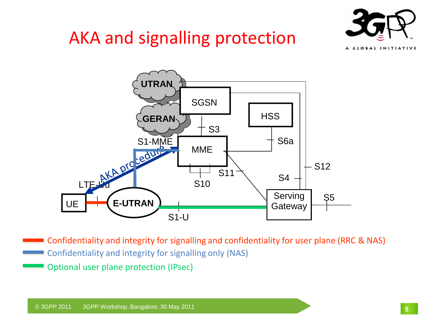# AKA and signalling protection





Confidentiality and integrity for signalling only (NAS) Confidentiality and integrity for signalling and confidentiality for user plane (RRC & NAS)

Optional user plane protection (IPsec)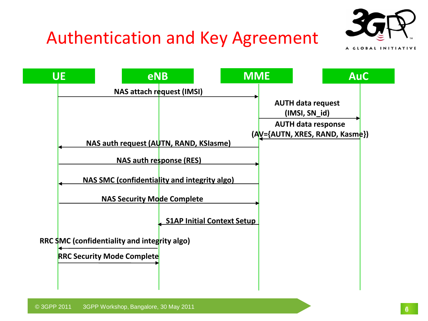

# Authentication and Key Agreement

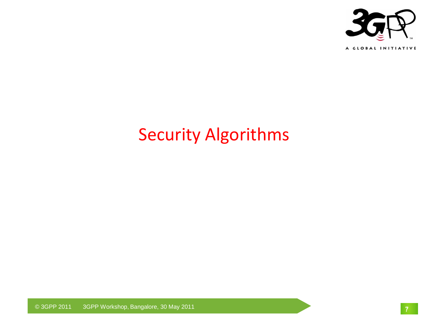

## Security Algorithms

© 3GPP 2011 3GPP Workshop, Bangalore, 30 May 2011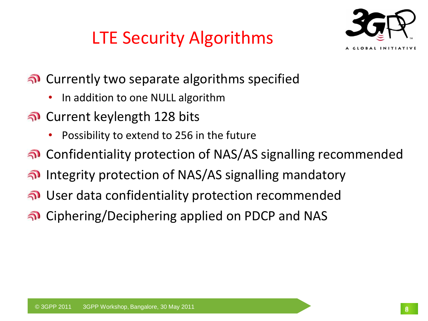



- Currently two separate algorithms specified
	- In addition to one NULL algorithm
- Current keylength 128 bits
	- Possibility to extend to 256 in the future
- Confidentiality protection of NAS/AS signalling recommended
- Integrity protection of NAS/AS signalling mandatory
- User data confidentiality protection recommended
- Ciphering/Deciphering applied on PDCP and NAS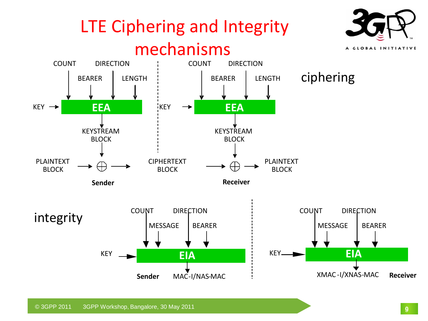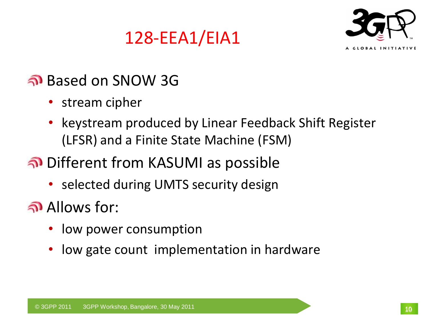# 128-EEA1/EIA1



#### Based on SNOW 3G

- stream cipher
- keystream produced by Linear Feedback Shift Register (LFSR) and a Finite State Machine (FSM)

### Different from KASUMI as possible

• selected during UMTS security design

Allows for:

- low power consumption
- low gate count implementation in hardware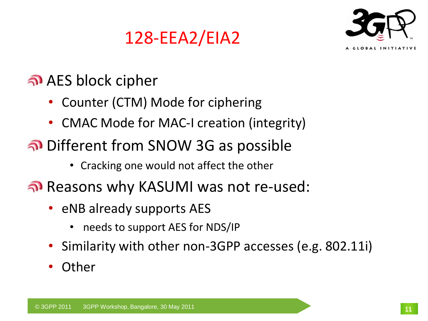# 128-EEA2/EIA2



### AES block cipher

- Counter (CTM) Mode for ciphering
- CMAC Mode for MAC-I creation (integrity)
- Different from SNOW 3G as possible
	- Cracking one would not affect the other
- Reasons why KASUMI was not re-used:
	- eNB already supports AES
		- needs to support AES for NDS/IP
	- Similarity with other non-3GPP accesses (e.g. 802.11i)
	- **Other**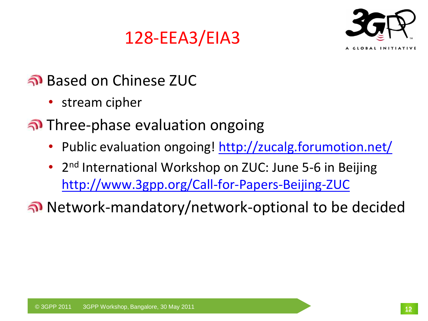



#### Based on Chinese ZUC

- stream cipher
- Three-phase evaluation ongoing
	- Public evaluation ongoing! <http://zucalg.forumotion.net/>
	- 2<sup>nd</sup> International Workshop on ZUC: June 5-6 in Beijing <http://www.3gpp.org/Call-for-Papers-Beijing-ZUC>

Network-mandatory/network-optional to be decided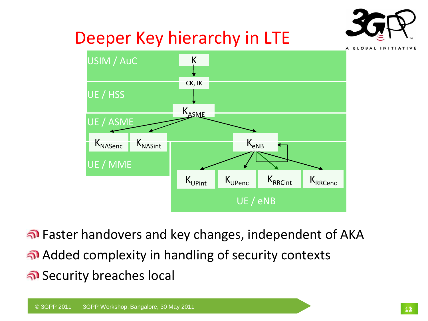

# Deeper Key hierarchy in LTE



Faster handovers and key changes, independent of AKA Added complexity in handling of security contexts Security breaches local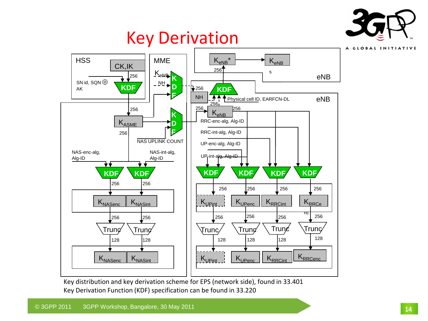

A GLOBAL INITIATIVE

## Key Derivation



Key distribution and key derivation scheme for EPS (network side), found in 33.401 Key Derivation Function (KDF) specification can be found in 33.220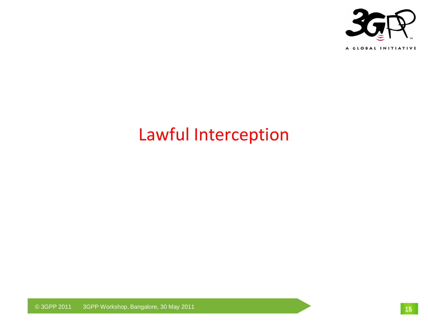

### Lawful Interception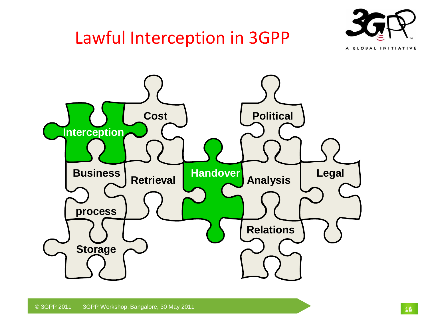# Lawful Interception in 3GPP



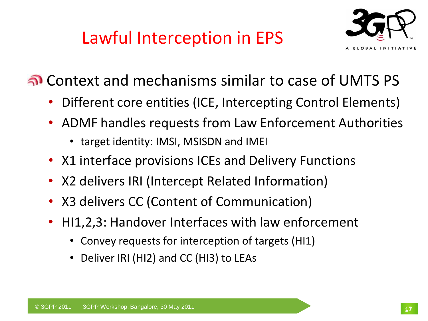# Lawful Interception in EPS



Context and mechanisms similar to case of UMTS PS

- Different core entities (ICE, Intercepting Control Elements)
- ADMF handles requests from Law Enforcement Authorities
	- target identity: IMSI, MSISDN and IMEI
- X1 interface provisions ICEs and Delivery Functions
- X2 delivers IRI (Intercept Related Information)
- X3 delivers CC (Content of Communication)
- HI1,2,3: Handover Interfaces with law enforcement
	- Convey requests for interception of targets (HI1)
	- Deliver IRI (HI2) and CC (HI3) to LEAs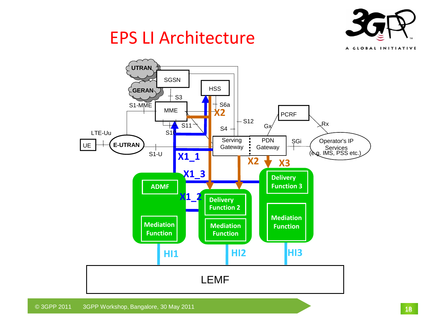

### EPS LI Architecture

A GLOBAL INITIATIVE

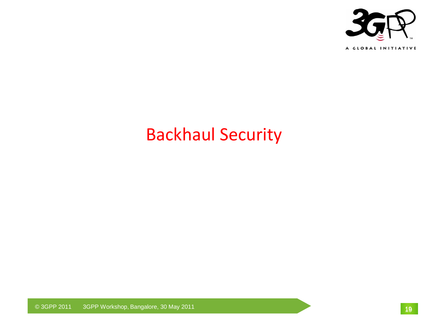

## Backhaul Security

© 3GPP 2011 3GPP Workshop, Bangalore, 30 May 2011 19<sup>19</sup>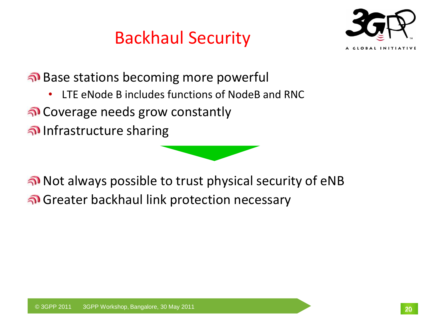# Backhaul Security



Base stations becoming more powerful

- LTE eNode B includes functions of NodeB and RNC
- Coverage needs grow constantly
- Infrastructure sharing

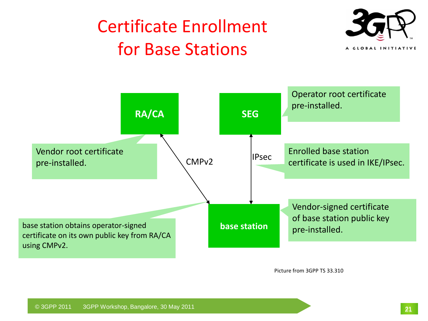# Certificate Enrollment for Base Stations





Picture from 3GPP TS 33.310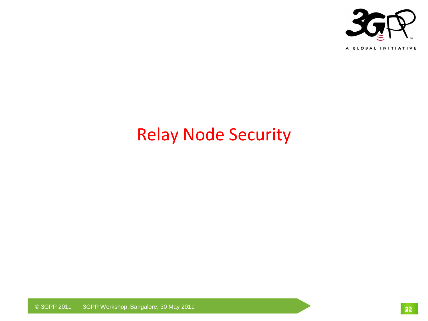

## Relay Node Security

© 3GPP 2011 3GPP Workshop, Bangalore, 30 May 2011 22222222 2022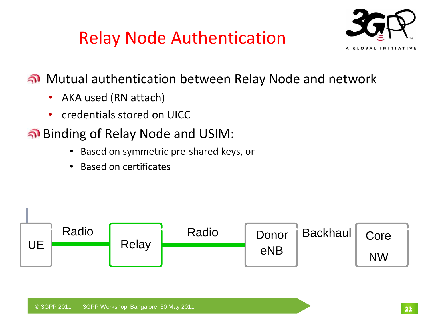# Relay Node Authentication



Mutual authentication between Relay Node and network

- AKA used (RN attach)
- credentials stored on UICC
- Binding of Relay Node and USIM:
	- Based on symmetric pre-shared keys, or
	- Based on certificates

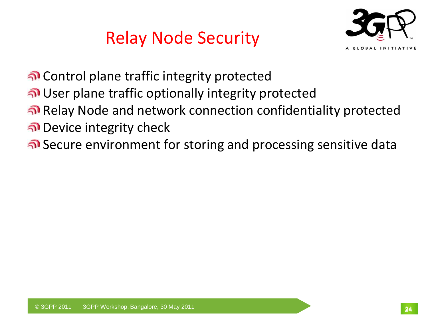Relay Node Security



Control plane traffic integrity protected

User plane traffic optionally integrity protected

Relay Node and network connection confidentiality protected

Device integrity check

Secure environment for storing and processing sensitive data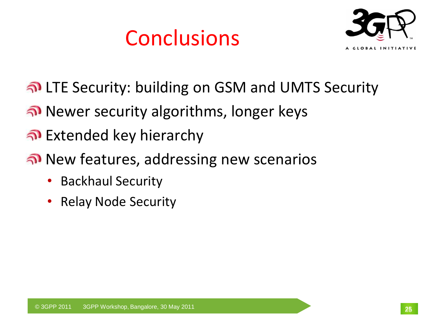# Conclusions



- LTE Security: building on GSM and UMTS Security
- <u>ெல</u> Newer security algorithms, longer keys
- Extended key hierarchy
- <u>ெல்</u> New features, addressing new scenarios
	- Backhaul Security
	- Relay Node Security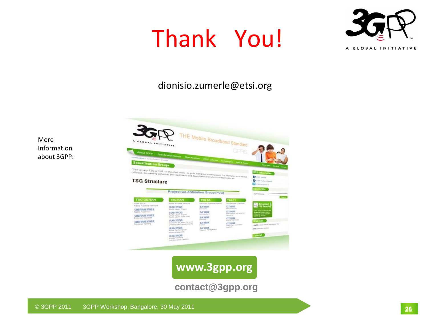# Thank You!



#### dionisio.zumerle@etsi.org

More Information about 3GPP:



**www.3gpp.org**

**contact@3gpp.org**